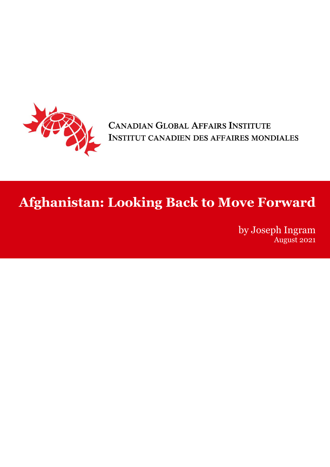

CANADIAN GLOBAL AFFAIRS INSTITUTE INSTITUT CANADIEN DES AFFAIRES MONDIALES

# **Afghanistan: Looking Back to Move Forward**

August 2021<br>Paper Paper Regist 2021 by Joseph Ingram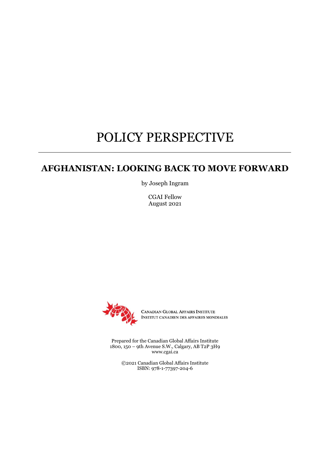## POLICY PERSPECTIVE

### **AFGHANISTAN: LOOKING BACK TO MOVE FORWARD**

by Joseph Ingram

CGAI Fellow August 2021



CANADIAN GLOBAL AFFAIRS INSTITUTE INSTITUT CANADIEN DES AFFAIRES MONDIALES

Prepared for the Canadian Global Affairs Institute 1800, 150 – 9th Avenue S.W., Calgary, AB T2P 3H9 www.cgai.ca

©2021 Canadian Global Affairs Institute ISBN: 978-1-77397-204-6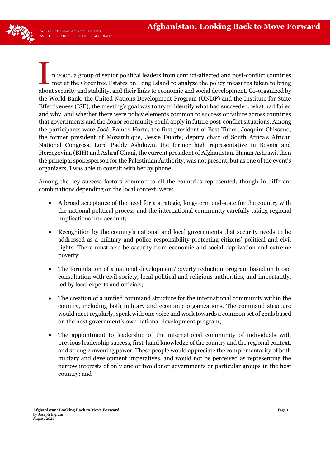n 2005, a group of senior political leaders from conflict-affected and post-conflict countries met at the Greentree Estates on Long Island to analyze the policy measures taken to bring about security and stability, and their links to economic and social development. Co-organized by the World Bank, the United Nations Development Program (UNDP) and the Institute for State Effectiveness (ISE), the meeting's goal was to try to identify what had succeeded, what had failed and why, and whether there were policy elements common to success or failure across countries that governments and the donor community could apply in future post-conflict situations. Among the participants were José Ramos-Horta, the first president of East Timor, Joaquim Chissano, the former president of Mozambique, Jessie Duarte, deputy chair of South Africa's African National Congress, Lord Paddy Ashdown, the former high representative in Bosnia and Herzegovina (BIH) and Ashraf Ghani, the current president of Afghanistan. Hanan Ashrawi, then the principal spokesperson for the Palestinian Authority, was not present, but as one of the event's organizers, I was able to consult with her by phone. I

Among the key success factors common to all the countries represented, though in different combinations depending on the local context, were:

- A broad acceptance of the need for a strategic, long-term end-state for the country with the national political process and the international community carefully taking regional implications into account;
- Recognition by the country's national and local governments that security needs to be addressed as a military and police responsibility protecting citizens' political and civil rights. There must also be security from economic and social deprivation and extreme poverty;
- The formulation of a national development/poverty reduction program based on broad consultation with civil society, local political and religious authorities, and importantly, led by local experts and officials;
- The creation of a unified command structure for the international community within the country, including both military and economic organizations. The command structure would meet regularly, speak with one voice and work towards a common set of goals based on the host government's own national development program;
- The appointment to leadership of the international community of individuals with previous leadership success, first-hand knowledge of the country and the regional context, and strong convening power. These people would appreciate the complementarity of both military and development imperatives, and would not be perceived as representing the narrow interests of only one or two donor governments or particular groups in the host country; and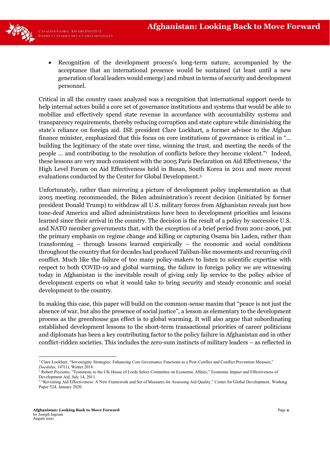

- - Recognition of the development process's long-term nature, accompanied by the acceptance that an international presence would be sustained (at least until a new generation of local leaders would emerge) and robust in terms of security and development personnel.

Critical in all the country cases analyzed was a recognition that international support needs to help internal actors build a core set of governance institutions and systems that would be able to mobilize and effectively spend state revenue in accordance with accountability systems and transparency requirements, thereby reducing corruption and state capture while diminishing the state's reliance on foreign aid. ISE president Clare Lockhart, a former advisor to the Afghan finance minister, emphasized that this focus on core institutions of governance is critical in "... building the legitimacy of the state over time, winning the trust, and meeting the needs of the people ... and contributing to the resolution of conflicts before they become violent."<sup>1</sup> Indeed, these lessons are very much consistent with the 2005 Paris Declaration on Aid Effectiveness,<sup>2</sup> the High Level Forum on Aid Effectiveness held in Busan, South Korea in 2011 and more recent evaluations conducted by the Center for Global Development.3

Unfortunately, rather than mirroring a picture of development policy implementation as that 2005 meeting recommended, the Biden administration's recent decision (initiated by former president Donald Trump) to withdraw all U.S. military forces from Afghanistan reveals just how tone-deaf America and allied administrations have been to development priorities and lessons learned since their arrival in the country. The decision is the result of a policy by successive U.S. and NATO member governments that, with the exception of a brief period from 2001-2006, put the primary emphasis on regime change and killing or capturing Osama bin Laden, rather than transforming – through lessons learned empirically – the economic and social conditions throughout the country that for decades had produced Taliban-like movements and recurring civil conflict. Much like the failure of too many policy-makers to listen to scientific expertise with respect to both COVID-19 and global warming, the failure in foreign policy we are witnessing today in Afghanistan is the inevitable result of giving only lip service to the policy advice of development experts on what it would take to bring security and steady economic and social development to the country.

In making this case, this paper will build on the common-sense maxim that "peace is not just the absence of war, but also the presence of social justice", a lesson as elementary to the development process as the greenhouse gas effect is to global warming. It will also argue that subordinating established development lessons to the short-term transactional priorities of career politicians and diplomats has been a key contributing factor to the policy failure in Afghanistan and in other conflict-ridden societies. This includes the zero-sum instincts of military leaders – as reflected in

<sup>&</sup>lt;sup>1</sup> Clare Lockhart, "Sovereignty Strategies: Enhancing Core Governance Functions as a Post-Conflict and Conflict Prevention Measure," *Daedalus*, 147(1), Winter 2018.

<sup>&</sup>lt;sup>2</sup> Robert Picciotto, "Testimony to the UK House of Lords Select Committee on Economic Affairs," Economic Impact and Effectiveness of Development Aid, July 14, 2011.

<sup>&</sup>lt;sup>3</sup> "Revisiting Aid Effectiveness: A New Framework and Set of Measures for Assessing Aid Quality," Center for Global Development, Working Paper 524, January 2020.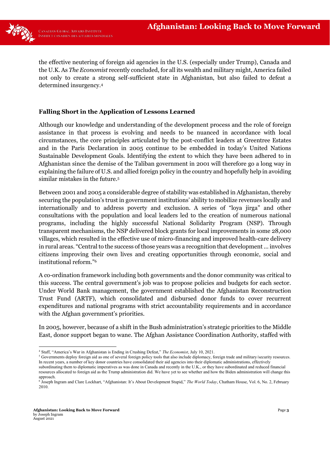

the effective neutering of foreign aid agencies in the U.S. (especially under Trump), Canada and the U.K. As *The Economist* recently concluded, for all its wealth and military might, America failed not only to create a strong self-sufficient state in Afghanistan, but also failed to defeat a determined insurgency.4

#### **Falling Short in the Application of Lessons Learned**

Although our knowledge and understanding of the development process and the role of foreign assistance in that process is evolving and needs to be nuanced in accordance with local circumstances, the core principles articulated by the post-conflict leaders at Greentree Estates and in the Paris Declaration in 2005 continue to be embedded in today's United Nations Sustainable Development Goals. Identifying the extent to which they have been adhered to in Afghanistan since the demise of the Taliban government in 2001 will therefore go a long way in explaining the failure of U.S. and allied foreign policy in the country and hopefully help in avoiding similar mistakes in the future.5

Between 2001 and 2005 a considerable degree of stability was established in Afghanistan, thereby securing the population's trust in government institutions' ability to mobilize revenues locally and internationally and to address poverty and exclusion. A series of "loya jirga" and other consultations with the population and local leaders led to the creation of numerous national programs, including the highly successful National Solidarity Program (NSP). Through transparent mechanisms, the NSP delivered block grants for local improvements in some 28,000 villages, which resulted in the effective use of micro-financing and improved health-care delivery in rural areas. "Central to the success of those years was a recognition that development ... involves citizens improving their own lives and creating opportunities through economic, social and institutional reform."<sup>6</sup>

A co-ordination framework including both governments and the donor community was critical to this success. The central government's job was to propose policies and budgets for each sector. Under World Bank management, the government established the Afghanistan Reconstruction Trust Fund (ARTF), which consolidated and disbursed donor funds to cover recurrent expenditures and national programs with strict accountability requirements and in accordance with the Afghan government's priorities.

In 2005, however, because of a shift in the Bush administration's strategic priorities to the Middle East, donor support began to wane. The Afghan Assistance Coordination Authority, staffed with

<sup>4</sup> Staff, "America's War in Afghanistan is Ending in Crushing Defeat," *The Economist*, July 10, 2021.

<sup>&</sup>lt;sup>5</sup> Governments deploy foreign aid as one of several foreign policy tools that also include diplomacy, foreign trade and military/security resources. In recent years, a number of key donor countries have consolidated their aid agencies into their diplomatic administrations, effectively subordinating them to diplomatic imperatives as was done in Canada and recently in the U.K., or they have subordinated and reduced financial

resources allocated to foreign aid as the Trump administration did. We have yet to see whether and how the Biden administration will change this approach.

<sup>6</sup> Joseph Ingram and Clare Lockhart, "Afghanistan: It's About Development Stupid," *The World Today*, Chatham House, Vol. 6, No. 2, February 2010.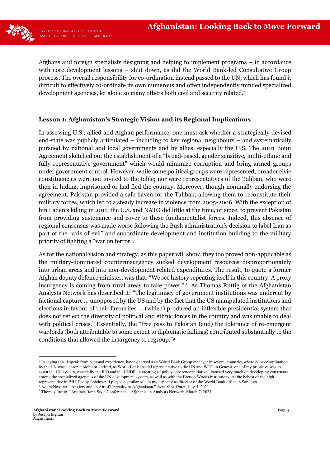

Afghans and foreign specialists designing and helping to implement programs – in accordance with core development lessons – shut down, as did the World Bank-led Consultative Group process. The overall responsibility for co-ordination instead passed to the UN, which has found it difficult to effectively co-ordinate its own numerous and often independently minded specialized development agencies, let alone so many others both civil and security related.7

#### **Lesson 1: Afghanistan's Strategic Vision and its Regional Implications**

In assessing U.S., allied and Afghan performance, one must ask whether a strategically devised end-state was publicly articulated – including to key regional neighbours – and systematically pursued by national and local governments and by allies, especially the U.S. The 2001 Bonn Agreement sketched out the establishment of a "broad-based, gender sensitive, multi-ethnic and fully representative government" which would minimize corruption and bring armed groups under government control. However, while some political groups were represented, broader civic constituencies were not invited to the table; nor were representatives of the Taliban, who were then in hiding, imprisoned or had fled the country. Moreover, though nominally endorsing the agreement, Pakistan provided a safe haven for the Taliban, allowing them to reconstitute their military forces, which led to a steady increase in violence from 2005-2006. With the exception of bin Laden's killing in 2011, the U.S. and NATO did little at the time, or since, to prevent Pakistan from providing sustenance and cover to these fundamentalist forces. Indeed, this absence of regional consensus was made worse following the Bush administration's decision to label Iran as part of the "axis of evil" and subordinate development and institution building to the military priority of fighting a "war on terror".

As for the national vision and strategy, as this paper will show, they too proved non-applicable as the military-dominated counterinsurgency sucked development resources disproportionately into urban areas and into non-development related expenditures. The result, to quote a former Afghan deputy defence minister, was that: "We see history repeating itself in this country: A proxy insurgency is coming from rural areas to take power."8 As Thomas Ruttig of the Afghanistan Analysts Network has described it: "The legitimacy of government institutions was undercut by factional capture ... unopposed by the US and by the fact that the US manipulated institutions and elections in favour of their favourites ... (which) produced an inflexible presidential system that does not reflect the diversity of political and ethnic forces in the country and was unable to deal with political crises." Essentially, the "free pass to Pakistan (and) the tolerance of re-emergent war lords (both attributable to some extent to diplomatic failings) contributed substantially to the conditions that allowed the insurgency to regroup."<sup>9</sup>

<sup>7</sup> In saying this, I speak from personal experience, having served as a World Bank Group manager in several countries where poor co-ordination by the UN was a chronic problem. Indeed, as World Bank special representative to the UN and WTO in Geneva, one of my priorities was to assist the UN system, especially the ILO and the UNDP, in creating a "policy coherence initiative" focused very much on developing consensus among the specialized agencies of the UN development system, as well as with the Bretton Woods institutions. At the behest of the high representative in BIH, Paddy Ashdown, I played a similar role in my capacity as director of the World Bank office in Sarajevo.

<sup>8</sup> Adam Nossiter, "Anxiety and an Air of Unreality in Afghanistan," *New York Times*, July 5, 2021.

<sup>9</sup> Thomas Ruttig, "Another Bonn Style Conference," Afghanistan Analysts Network, March 7, 2021.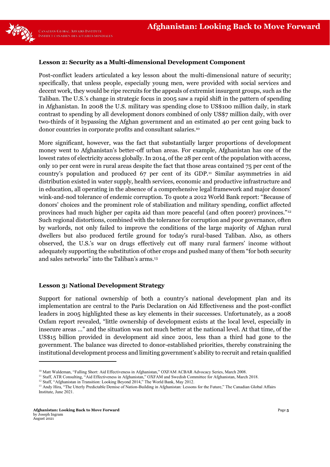

#### **Lesson 2: Security as a Multi-dimensional Development Component**

Post-conflict leaders articulated a key lesson about the multi-dimensional nature of security; specifically, that unless people, especially young men, were provided with social services and decent work, they would be ripe recruits for the appeals of extremist insurgent groups, such as the Taliban. The U.S.'s change in strategic focus in 2005 saw a rapid shift in the pattern of spending in Afghanistan. In 2008 the U.S. military was spending close to US\$100 million daily, in stark contrast to spending by all development donors combined of only US\$7 million daily, with over two-thirds of it bypassing the Afghan government and an estimated 40 per cent going back to donor countries in corporate profits and consultant salaries.10

More significant, however, was the fact that substantially larger proportions of development money went to Afghanistan's better-off urban areas. For example, Afghanistan has one of the lowest rates of electricity access globally. In 2014, of the 28 per cent of the population with access, only 10 per cent were in rural areas despite the fact that those areas contained 75 per cent of the country's population and produced 67 per cent of its GDP.<sup>11</sup> Similar asymmetries in aid distribution existed in water supply, health services, economic and productive infrastructure and in education, all operating in the absence of a comprehensive legal framework and major donors' wink-and-nod tolerance of endemic corruption. To quote a 2012 World Bank report: "Because of donors' choices and the prominent role of stabilization and military spending, conflict affected provinces had much higher per capita aid than more peaceful (and often poorer) provinces."12 Such regional distortions, combined with the tolerance for corruption and poor governance, often by warlords, not only failed to improve the conditions of the large majority of Afghan rural dwellers but also produced fertile ground for today's rural-based Taliban. Also, as others observed, the U.S.'s war on drugs effectively cut off many rural farmers' income without adequately supporting the substitution of other crops and pushed many of them "for both security and sales networks" into the Taliban's arms.<sup>13</sup>

#### **Lesson 3: National Development Strategy**

Support for national ownership of both a country's national development plan and its implementation are central to the Paris Declaration on Aid Effectiveness and the post-conflict leaders in 2005 highlighted these as key elements in their successes. Unfortunately, as a 2008 Oxfam report revealed, "little ownership of development exists at the local level, especially in insecure areas ..." and the situation was not much better at the national level. At that time, of the US\$15 billion provided in development aid since 2001, less than a third had gone to the government. The balance was directed to donor-established priorities, thereby constraining the institutional development process and limiting government's ability to recruit and retain qualified

<sup>&</sup>lt;sup>10</sup> Matt Waldeman, "Falling Short: Aid Effectiveness in Afghanistan," OXFAM ACBAR Advocacy Series, March 2008.

<sup>&</sup>lt;sup>11</sup> Staff, ATR Consulting, "Aid Effectiveness in Afghanistan," OXFAM and Swedish Committee for Afghanistan, March 2018.

<sup>&</sup>lt;sup>12</sup> Staff, "Afghanistan in Transition: Looking Beyond 2014," The World Bank, May 2012.

<sup>&</sup>lt;sup>13</sup> Andy Hira, "The Utterly Predictable Demise of Nation-Building in Afghanistan: Lessons for the Future," The Canadian Global Affairs Institute, June 2021.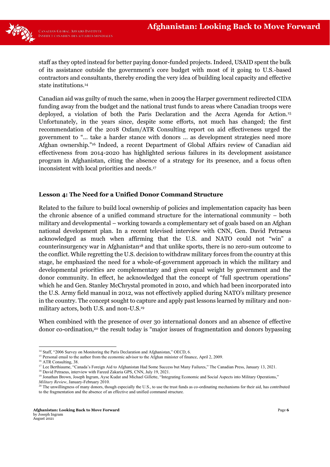

staff as they opted instead for better paying donor-funded projects. Indeed, USAID spent the bulk of its assistance outside the government's core budget with most of it going to U.S.-based contractors and consultants, thereby eroding the very idea of building local capacity and effective state institutions.14

Canadian aid was guilty of much the same, when in 2009 the Harper government redirected CIDA funding away from the budget and the national trust funds to areas where Canadian troops were deployed, a violation of both the Paris Declaration and the Accra Agenda for Action.15 Unfortunately, in the years since, despite some efforts, not much has changed; the first recommendation of the 2018 Oxfam/ATR Consulting report on aid effectiveness urged the government to "... take a harder stance with donors ... as development strategies need more Afghan ownership."<sup>16</sup> Indeed, a recent Department of Global Affairs review of Canadian aid effectiveness from 2014-2020 has highlighted serious failures in its development assistance program in Afghanistan, citing the absence of a strategy for its presence, and a focus often inconsistent with local priorities and needs.17

#### **Lesson 4: The Need for a Unified Donor Command Structure**

Related to the failure to build local ownership of policies and implementation capacity has been the chronic absence of a unified command structure for the international community – both military and developmental – working towards a complementary set of goals based on an Afghan national development plan. In a recent televised interview with CNN, Gen. David Petraeus acknowledged as much when affirming that the U.S. and NATO could not "win" a counterinsurgency war in Afghanistan18 and that unlike sports, there is no zero-sum outcome to the conflict. While regretting the U.S. decision to withdraw military forces from the country at this stage, he emphasized the need for a whole-of-government approach in which the military and developmental priorities are complementary and given equal weight by government and the donor community. In effect, he acknowledged that the concept of "full spectrum operations" which he and Gen. Stanley McChrystal promoted in 2010, and which had been incorporated into the U.S. Army field manual in 2012, was not effectively applied during NATO's military presence in the country. The concept sought to capture and apply past lessons learned by military and nonmilitary actors, both U.S. and non-U.S.19

When combined with the presence of over 30 international donors and an absence of effective donor co-ordination,20 the result today is "major issues of fragmentation and donors bypassing

<sup>&</sup>lt;sup>14</sup> Staff, "2006 Survey on Monitoring the Paris Declaration and Afghanistan," OECD, 6.

<sup>&</sup>lt;sup>15</sup> Personal email to the author from the economic advisor to the Afghan minister of finance, April 2, 2009.

<sup>&</sup>lt;sup>16</sup> ATR Consulting, 38.

<sup>&</sup>lt;sup>17</sup> Lee Berthiaume, "Canada's Foreign Aid to Afghanistan Had Some Success but Many Failures," The Canadian Press, January 13, 2021.

<sup>&</sup>lt;sup>18</sup> David Petraeus, interview with Fareed Zakaria GPS, CNN, July 19, 2021.

<sup>&</sup>lt;sup>19</sup> Jonathan Brown, Joseph Ingram, Ayse Kudat and Michael Gillette, "Integrating Economic and Social Aspects into Military Operations," *Military Review*, January-February 2010.

<sup>&</sup>lt;sup>20</sup> The unwillingness of many donors, though especially the U.S., to use the trust funds as co-ordinating mechanisms for their aid, has contributed to the fragmentation and the absence of an effective and unified command structure.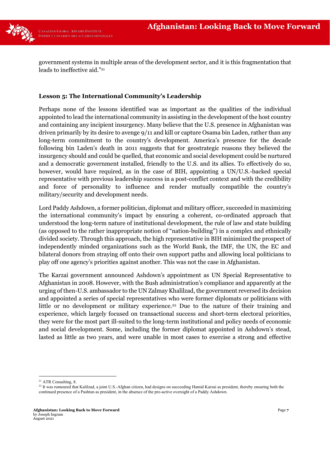

government systems in multiple areas of the development sector, and it is this fragmentation that leads to ineffective aid."<sup>21</sup>

#### **Lesson 5: The International Community's Leadership**

Perhaps none of the lessons identified was as important as the qualities of the individual appointed to lead the international community in assisting in the development of the host country and containing any incipient insurgency. Many believe that the U.S. presence in Afghanistan was driven primarily by its desire to avenge 9/11 and kill or capture Osama bin Laden, rather than any long-term commitment to the country's development. America's presence for the decade following bin Laden's death in 2011 suggests that for geostrategic reasons they believed the insurgency should and could be quelled, that economic and social development could be nurtured and a democratic government installed, friendly to the U.S. and its allies. To effectively do so, however, would have required, as in the case of BIH, appointing a UN/U.S.-backed special representative with previous leadership success in a post-conflict context and with the credibility and force of personality to influence and render mutually compatible the country's military/security and development needs.

Lord Paddy Ashdown, a former politician, diplomat and military officer, succeeded in maximizing the international community's impact by ensuring a coherent, co-ordinated approach that understood the long-term nature of institutional development, the rule of law and state building (as opposed to the rather inappropriate notion of "nation-building") in a complex and ethnically divided society. Through this approach, the high representative in BIH minimized the prospect of independently minded organizations such as the World Bank, the IMF, the UN, the EC and bilateral donors from straying off onto their own support paths and allowing local politicians to play off one agency's priorities against another. This was not the case in Afghanistan.

The Karzai government announced Ashdown's appointment as UN Special Representative to Afghanistan in 2008. However, with the Bush administration's compliance and apparently at the urging of then-U.S. ambassador to the UN Zalmay Khalilzad, the government reversed its decision and appointed a series of special representatives who were former diplomats or politicians with little or no development or military experience.<sup>22</sup> Due to the nature of their training and experience, which largely focused on transactional success and short-term electoral priorities, they were for the most part ill-suited to the long-term institutional and policy needs of economic and social development. Some, including the former diplomat appointed in Ashdown's stead, lasted as little as two years, and were unable in most cases to exercise a strong and effective

<sup>&</sup>lt;sup>21</sup> ATR Consulting, 8.

<sup>&</sup>lt;sup>22</sup> It was rumoured that Kalilzad, a joint U.S.-Afghan citizen, had designs on succeeding Hamid Karzai as president, thereby ensuring both the continued presence of a Pashtun as president, in the absence of the pro-active oversight of a Paddy Ashdown.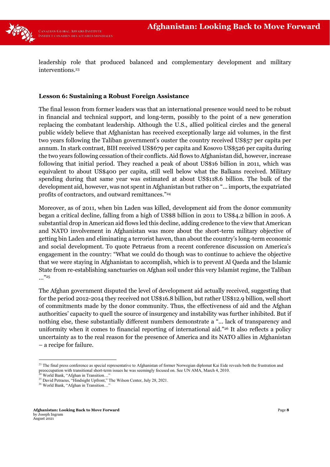

leadership role that produced balanced and complementary development and military interventions.23

#### **Lesson 6: Sustaining a Robust Foreign Assistance**

The final lesson from former leaders was that an international presence would need to be robust in financial and technical support, and long-term, possibly to the point of a new generation replacing the combatant leadership. Although the U.S., allied political circles and the general public widely believe that Afghanistan has received exceptionally large aid volumes, in the first two years following the Taliban government's ouster the country received US\$57 per capita per annum. In stark contrast, BIH received US\$679 per capita and Kosovo US\$526 per capita during the two years following cessation of their conflicts. Aid flows to Afghanistan did, however, increase following that initial period. They reached a peak of about US\$16 billion in 2011, which was equivalent to about US\$400 per capita, still well below what the Balkans received. Military spending during that same year was estimated at about US\$118.6 billion. The bulk of the development aid, however, was not spent in Afghanistan but rather on "... imports, the expatriated profits of contractors, and outward remittances."<sup>24</sup>

Moreover, as of 2011, when bin Laden was killed, development aid from the donor community began a critical decline, falling from a high of US\$8 billion in 2011 to US\$4.2 billion in 2016. A substantial drop in American aid flows led this decline, adding credence to the view that American and NATO involvement in Afghanistan was more about the short-term military objective of getting bin Laden and eliminating a terrorist haven, than about the country's long-term economic and social development. To quote Petraeus from a recent conference discussion on America's engagement in the country: "What we could do though was to continue to achieve the objective that we were staying in Afghanistan to accomplish, which is to prevent Al Qaeda and the Islamic State from re-establishing sanctuaries on Afghan soil under this very Islamist regime, the Taliban ..."<sup>25</sup>

The Afghan government disputed the level of development aid actually received, suggesting that for the period 2012-2014 they received not US\$16.8 billion, but rather US\$12.9 billion, well short of commitments made by the donor community. Thus, the effectiveness of aid and the Afghan authorities' capacity to quell the source of insurgency and instability was further inhibited. But if nothing else, these substantially different numbers demonstrate a "... lack of transparency and uniformity when it comes to financial reporting of international aid."<sup>26</sup> It also reflects a policy uncertainty as to the real reason for the presence of America and its NATO allies in Afghanistan – a recipe for failure.

<sup>&</sup>lt;sup>23</sup> The final press conference as special representative to Afghanistan of former Norwegian diplomat Kai Eide reveals both the frustration and preoccupation with transitional short-term issues he was seemingly focused on. See UN AMA, March 4, 2010.

<sup>&</sup>lt;sup>24</sup> World Bank, "Afghan in Transition..."

<sup>&</sup>lt;sup>25</sup> David Petraeus, "Hindsight Upfront," The Wilson Center, July 28, 2021.

<sup>&</sup>lt;sup>26</sup> World Bank, "Afghan in Transition...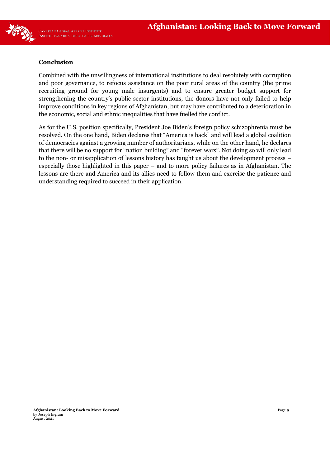

#### **Conclusion**

Combined with the unwillingness of international institutions to deal resolutely with corruption and poor governance, to refocus assistance on the poor rural areas of the country (the prime recruiting ground for young male insurgents) and to ensure greater budget support for strengthening the country's public-sector institutions, the donors have not only failed to help improve conditions in key regions of Afghanistan, but may have contributed to a deterioration in the economic, social and ethnic inequalities that have fuelled the conflict.

As for the U.S. position specifically, President Joe Biden's foreign policy schizophrenia must be resolved. On the one hand, Biden declares that "America is back" and will lead a global coalition of democracies against a growing number of authoritarians, while on the other hand, he declares that there will be no support for "nation building" and "forever wars". Not doing so will only lead to the non- or misapplication of lessons history has taught us about the development process – especially those highlighted in this paper – and to more policy failures as in Afghanistan. The lessons are there and America and its allies need to follow them and exercise the patience and understanding required to succeed in their application.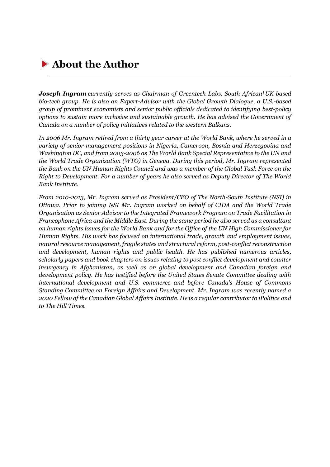## **About the Author**

*Joseph Ingram currently serves as Chairman of Greentech Labs, South African\UK-based bio-tech group. He is also an Expert-Advisor with the Global Growth Dialogue, a U.S.-based group of prominent economists and senior public officials dedicated to identifying best-policy options to sustain more inclusive and sustainable growth. He has advised the Government of Canada on a number of policy initiatives related to the western Balkans.*

*In 2006 Mr. Ingram retired from a thirty year career at the World Bank, where he served in a variety of senior management positions in Nigeria, Cameroon, Bosnia and Herzegovina and Washington DC, and from 2003-2006 as The World Bank Special Representative to the UN and the World Trade Organization (WTO) in Geneva. During this period, Mr. Ingram represented the Bank on the UN Human Rights Council and was a member of the Global Task Force on the Right to Development. For a number of years he also served as Deputy Director of The World Bank Institute.*

*From 2010-2013, Mr. Ingram served as President/CEO of The North-South Institute (NSI) in Ottawa. Prior to joining NSI Mr. Ingram worked on behalf of CIDA and the World Trade Organisation as Senior Advisor to the Integrated Framework Program on Trade Facilitation in Francophone Africa and the Middle East. During the same period he also served as a consultant on human rights issues for the World Bank and for the Office of the UN High Commissioner for Human Rights. His work has focused on international trade, growth and employment issues, natural resource management, fragile states and structural reform, post-conflict reconstruction and development, human rights and public health. He has published numerous articles, scholarly papers and book chapters on issues relating to post conflict development and counter insurgency in Afghanistan, as well as on global development and Canadian foreign and development policy. He has testified before the United States Senate Committee dealing with international development and U.S. commerce and before Canada's House of Commons Standing Committee on Foreign Affairs and Development. Mr. Ingram was recently named a 2020 Fellow of the Canadian Global Affairs Institute. He is a regular contributor to iPolitics and to The Hill Times.*